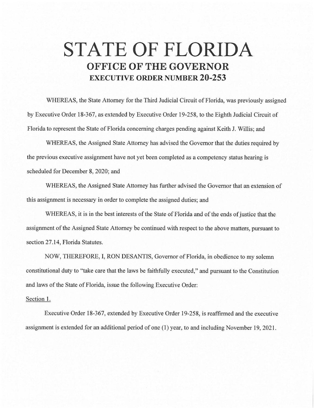## **STATE OF FLORIDA OFFICE OF THE GOVERNOR EXECUTIVE ORDER NUMBER 20-253**

WHEREAS, the State Attorney for the Third Judicial Circuit of Florida, was previously assigned by Executive Order 18-367, as extended by Executive Order 19-258, to the Eighth Judicial Circuit of Florida to represent the State of Florida concerning charges pending against Keith J. Willis; and

WHEREAS, the Assigned State Attorney has advised the Governor that the duties required by the previous executive assignment have not yet been completed as a competency status hearing is scheduled for December 8, 2020; and

WHEREAS, the Assigned State Attorney has further advised the Governor that an extension of this assignment is necessary in order to complete the assigned duties; and

WHEREAS, it is in the best interests of the State of Florida and of the ends of justice that the assignment of the Assigned State Attorney be continued with respect to the above matters, pursuant to section 27.14, Florida Statutes.

NOW, THEREFORE, I, RON DESANTIS, Governor of Florida, in obedience to my solemn constitutional duty to "take care that the laws be faithfully executed," and pursuant to the Constitution and laws of the State of Florida, issue the following Executive Order:

## Section 1.

Executive Order 18-367, extended by Executive Order 19-258, is reaffirmed and the executive assignment is extended for an additional period of one (1) year, to and including November 19, 2021 .